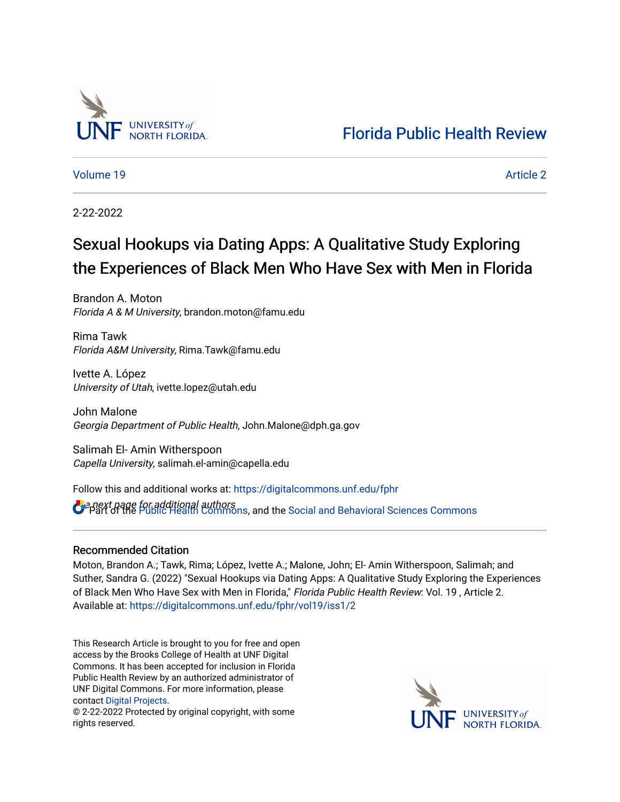

[Florida Public Health Review](https://digitalcommons.unf.edu/fphr) 

[Volume 19](https://digitalcommons.unf.edu/fphr/vol19) [Article 2](https://digitalcommons.unf.edu/fphr/vol19/iss1/2) 

2-22-2022

## Sexual Hookups via Dating Apps: A Qualitative Study Exploring the Experiences of Black Men Who Have Sex with Men in Florida

Brandon A. Moton Florida A & M University, brandon.moton@famu.edu

Rima Tawk Florida A&M University, Rima.Tawk@famu.edu

Ivette A. López University of Utah, ivette.lopez@utah.edu

John Malone Georgia Department of Public Health, John.Malone@dph.ga.gov

Salimah El- Amin Witherspoon Capella University, salimah.el-amin@capella.edu

Follow this and additional works at: [https://digitalcommons.unf.edu/fphr](https://digitalcommons.unf.edu/fphr?utm_source=digitalcommons.unf.edu%2Ffphr%2Fvol19%2Fiss1%2F2&utm_medium=PDF&utm_campaign=PDFCoverPages) 

**B** a next page for additional authors<br>**P** Part of the [Public Health Commons,](http://network.bepress.com/hgg/discipline/738?utm_source=digitalcommons.unf.edu%2Ffphr%2Fvol19%2Fiss1%2F2&utm_medium=PDF&utm_campaign=PDFCoverPages) and the [Social and Behavioral Sciences Commons](http://network.bepress.com/hgg/discipline/316?utm_source=digitalcommons.unf.edu%2Ffphr%2Fvol19%2Fiss1%2F2&utm_medium=PDF&utm_campaign=PDFCoverPages)

### Recommended Citation

Moton, Brandon A.; Tawk, Rima; López, Ivette A.; Malone, John; El- Amin Witherspoon, Salimah; and Suther, Sandra G. (2022) "Sexual Hookups via Dating Apps: A Qualitative Study Exploring the Experiences of Black Men Who Have Sex with Men in Florida," Florida Public Health Review: Vol. 19, Article 2. Available at: [https://digitalcommons.unf.edu/fphr/vol19/iss1/2](https://digitalcommons.unf.edu/fphr/vol19/iss1/2?utm_source=digitalcommons.unf.edu%2Ffphr%2Fvol19%2Fiss1%2F2&utm_medium=PDF&utm_campaign=PDFCoverPages)

This Research Article is brought to you for free and open access by the Brooks College of Health at UNF Digital Commons. It has been accepted for inclusion in Florida Public Health Review by an authorized administrator of UNF Digital Commons. For more information, please contact [Digital Projects](mailto:lib-digital@unf.edu).

© 2-22-2022 Protected by original copyright, with some rights reserved.

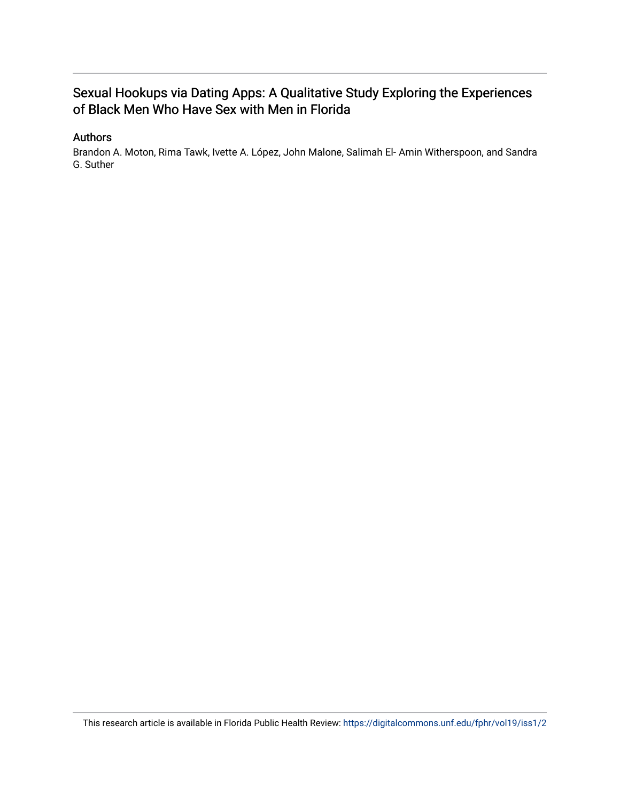### Sexual Hookups via Dating Apps: A Qualitative Study Exploring the Experiences of Black Men Who Have Sex with Men in Florida

### Authors

Brandon A. Moton, Rima Tawk, Ivette A. López, John Malone, Salimah El- Amin Witherspoon, and Sandra G. Suther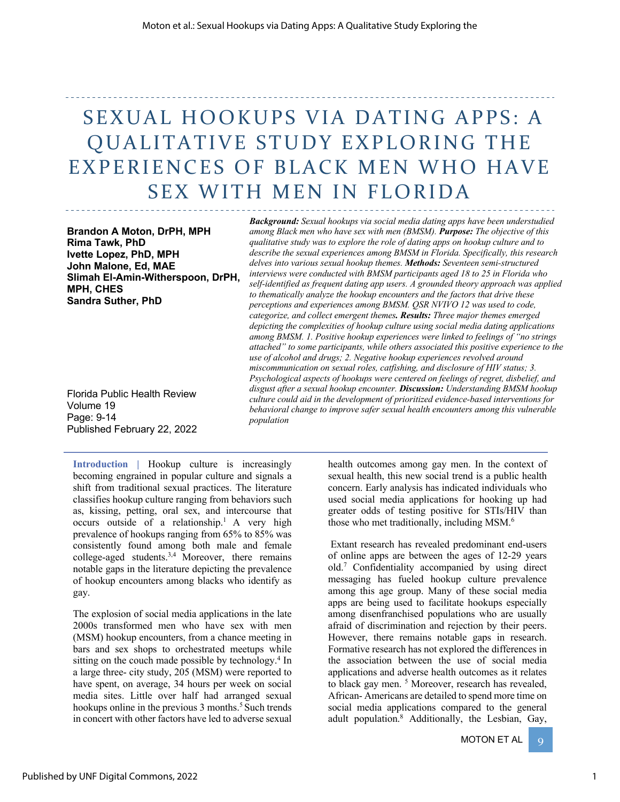# SEXUAL HOOKUPS VIA DATING APPS: A QUALITATIVE STUDY EXPLORING THE EXPERIENCES OF BLACK MEN WHO HAVE SEX WITH MEN IN FLORIDA

**Brandon A Moton, DrPH, MPH Rima Tawk, PhD Ivette Lopez, PhD, MPH John Malone, Ed, MAE Slimah El-Amin-Witherspoon, DrPH, MPH, CHES Sandra Suther, PhD**

Florida Public Health Review Volume 19 Page: 9-14 Published February 22, 2022

*Background: Sexual hookups via social media dating apps have been understudied among Black men who have sex with men (BMSM). Purpose: The objective of this qualitative study was to explore the role of dating apps on hookup culture and to describe the sexual experiences among BMSM in Florida. Specifically, this research delves into various sexual hookup themes. Methods: Seventeen semi-structured interviews were conducted with BMSM participants aged 18 to 25 in Florida who self-identified as frequent dating app users. A grounded theory approach was applied to thematically analyze the hookup encounters and the factors that drive these perceptions and experiences among BMSM. QSR NVIVO 12 was used to code, categorize, and collect emergent themes. Results: Three major themes emerged depicting the complexities of hookup culture using social media dating applications among BMSM. 1. Positive hookup experiences were linked to feelings of "no strings attached" to some participants, while others associated this positive experience to the use of alcohol and drugs; 2. Negative hookup experiences revolved around miscommunication on sexual roles, catfishing, and disclosure of HIV status; 3. Psychological aspects of hookups were centered on feelings of regret, disbelief, and disgust after a sexual hookup encounter. Discussion: Understanding BMSM hookup culture could aid in the development of prioritized evidence-based interventions for behavioral change to improve safer sexual health encounters among this vulnerable population*

**Introduction |** Hookup culture is increasingly becoming engrained in popular culture and signals a shift from traditional sexual practices. The literature classifies hookup culture ranging from behaviors such as, kissing, petting, oral sex, and intercourse that occurs outside of a relationship.1 A very high prevalence of hookups ranging from 65% to 85% was consistently found among both male and female college-aged students.3,4 Moreover, there remains notable gaps in the literature depicting the prevalence of hookup encounters among blacks who identify as gay.

The explosion of social media applications in the late 2000s transformed men who have sex with men (MSM) hookup encounters, from a chance meeting in bars and sex shops to orchestrated meetups while sitting on the couch made possible by technology.<sup>4</sup> In a large three- city study, 205 (MSM) were reported to have spent, on average, 34 hours per week on social media sites. Little over half had arranged sexual hookups online in the previous 3 months.<sup>5</sup> Such trends in concert with other factors have led to adverse sexual

health outcomes among gay men. In the context of sexual health, this new social trend is a public health concern. Early analysis has indicated individuals who used social media applications for hooking up had greater odds of testing positive for STIs/HIV than those who met traditionally, including MSM.<sup>6</sup>

Extant research has revealed predominant end-users of online apps are between the ages of 12-29 years old.7 Confidentiality accompanied by using direct messaging has fueled hookup culture prevalence among this age group. Many of these social media apps are being used to facilitate hookups especially among disenfranchised populations who are usually afraid of discrimination and rejection by their peers. However, there remains notable gaps in research. Formative research has not explored the differences in the association between the use of social media applications and adverse health outcomes as it relates to black gay men.<sup>5</sup> Moreover, research has revealed, African- Americans are detailed to spend more time on social media applications compared to the general adult population.8 Additionally, the Lesbian, Gay,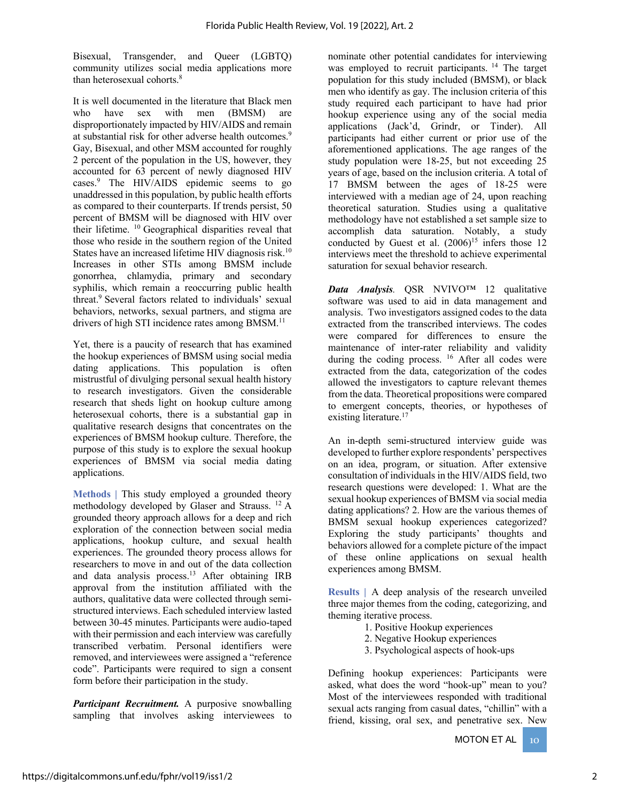Bisexual, Transgender, and Queer (LGBTQ) community utilizes social media applications more than heterosexual cohorts.8

It is well documented in the literature that Black men who have sex with men (BMSM) are disproportionately impacted by HIV/AIDS and remain at substantial risk for other adverse health outcomes.<sup>9</sup> Gay, Bisexual, and other MSM accounted for roughly 2 percent of the population in the US, however, they accounted for 63 percent of newly diagnosed HIV cases.9 The HIV/AIDS epidemic seems to go unaddressed in this population, by public health efforts as compared to their counterparts. If trends persist, 50 percent of BMSM will be diagnosed with HIV over their lifetime. 10 Geographical disparities reveal that those who reside in the southern region of the United States have an increased lifetime HIV diagnosis risk.<sup>10</sup> Increases in other STIs among BMSM include gonorrhea, chlamydia, primary and secondary syphilis, which remain a reoccurring public health threat. 9 Several factors related to individuals' sexual behaviors, networks, sexual partners, and stigma are drivers of high STI incidence rates among BMSM.<sup>11</sup>

Yet, there is a paucity of research that has examined the hookup experiences of BMSM using social media dating applications. This population is often mistrustful of divulging personal sexual health history to research investigators. Given the considerable research that sheds light on hookup culture among heterosexual cohorts, there is a substantial gap in qualitative research designs that concentrates on the experiences of BMSM hookup culture. Therefore, the purpose of this study is to explore the sexual hookup experiences of BMSM via social media dating applications.

**Methods** | This study employed a grounded theory methodology developed by Glaser and Strauss. 12 A grounded theory approach allows for a deep and rich exploration of the connection between social media applications, hookup culture, and sexual health experiences. The grounded theory process allows for researchers to move in and out of the data collection and data analysis process.13 After obtaining IRB approval from the institution affiliated with the authors, qualitative data were collected through semistructured interviews. Each scheduled interview lasted between 30-45 minutes. Participants were audio-taped with their permission and each interview was carefully transcribed verbatim. Personal identifiers were removed, and interviewees were assigned a "reference code". Participants were required to sign a consent form before their participation in the study.

*Participant Recruitment.* A purposive snowballing sampling that involves asking interviewees to

nominate other potential candidates for interviewing was employed to recruit participants.<sup>14</sup> The target population for this study included (BMSM), or black men who identify as gay. The inclusion criteria of this study required each participant to have had prior hookup experience using any of the social media applications (Jack'd, Grindr, or Tinder). All participants had either current or prior use of the aforementioned applications. The age ranges of the study population were 18-25, but not exceeding 25 years of age, based on the inclusion criteria. A total of 17 BMSM between the ages of 18-25 were interviewed with a median age of 24, upon reaching theoretical saturation. Studies using a qualitative methodology have not established a set sample size to accomplish data saturation. Notably, a study conducted by Guest et al.  $(2006)^{15}$  infers those 12 interviews meet the threshold to achieve experimental saturation for sexual behavior research.

*Data Analysis.* QSR NVIVO™ 12 qualitative software was used to aid in data management and analysis. Two investigators assigned codes to the data extracted from the transcribed interviews. The codes were compared for differences to ensure the maintenance of inter-rater reliability and validity during the coding process. <sup>16</sup> After all codes were extracted from the data, categorization of the codes allowed the investigators to capture relevant themes from the data. Theoretical propositions were compared to emergent concepts, theories, or hypotheses of existing literature.<sup>17</sup>

An in-depth semi-structured interview guide was developed to further explore respondents' perspectives on an idea, program, or situation. After extensive consultation of individuals in the HIV/AIDS field, two research questions were developed: 1. What are the sexual hookup experiences of BMSM via social media dating applications? 2. How are the various themes of BMSM sexual hookup experiences categorized? Exploring the study participants' thoughts and behaviors allowed for a complete picture of the impact of these online applications on sexual health experiences among BMSM.

**Results |** A deep analysis of the research unveiled three major themes from the coding, categorizing, and theming iterative process.

- 1. Positive Hookup experiences
- 2. Negative Hookup experiences
- 3. Psychological aspects of hook-ups

Defining hookup experiences: Participants were asked, what does the word "hook-up" mean to you? Most of the interviewees responded with traditional sexual acts ranging from casual dates, "chillin" with a friend, kissing, oral sex, and penetrative sex. New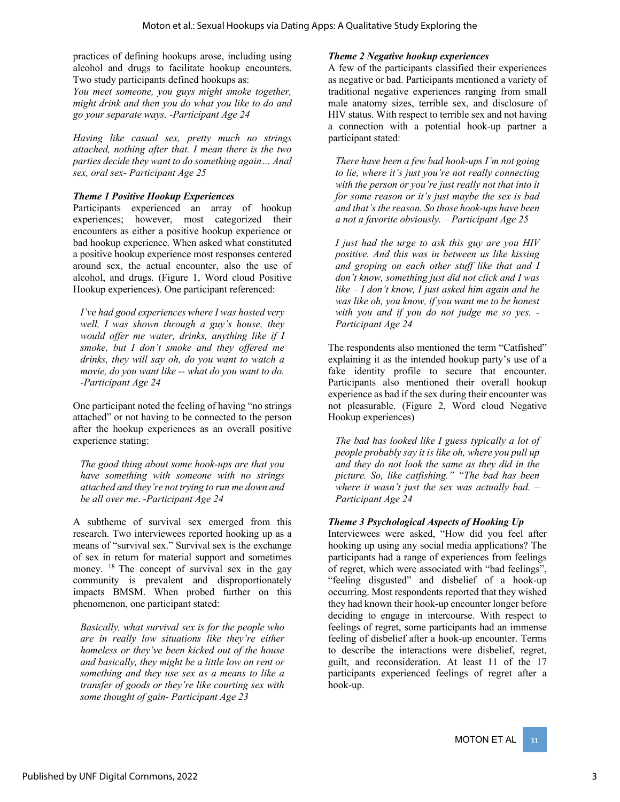practices of defining hookups arose, including using alcohol and drugs to facilitate hookup encounters. Two study participants defined hookups as:

*You meet someone, you guys might smoke together, might drink and then you do what you like to do and go your separate ways. -Participant Age 24*

*Having like casual sex, pretty much no strings attached, nothing after that. I mean there is the two parties decide they want to do something again… Anal sex, oral sex- Participant Age 25*

### *Theme 1 Positive Hookup Experiences*

Participants experienced an array of hookup experiences; however, most categorized their encounters as either a positive hookup experience or bad hookup experience. When asked what constituted a positive hookup experience most responses centered around sex, the actual encounter, also the use of alcohol, and drugs. (Figure 1, Word cloud Positive Hookup experiences). One participant referenced:

*I've had good experiences where I was hosted very well, I was shown through a guy's house, they would offer me water, drinks, anything like if I smoke, but I don't smoke and they offered me drinks, they will say oh, do you want to watch a movie, do you want like -- what do you want to do. -Participant Age 24* 

One participant noted the feeling of having "no strings attached" or not having to be connected to the person after the hookup experiences as an overall positive experience stating:

*The good thing about some hook-ups are that you have something with someone with no strings attached and they're not trying to run me down and be all over me*. *-Participant Age 24*

A subtheme of survival sex emerged from this research. Two interviewees reported hooking up as a means of "survival sex." Survival sex is the exchange of sex in return for material support and sometimes money. <sup>18</sup> The concept of survival sex in the gay community is prevalent and disproportionately impacts BMSM. When probed further on this phenomenon, one participant stated:

*Basically, what survival sex is for the people who are in really low situations like they're either homeless or they've been kicked out of the house and basically, they might be a little low on rent or something and they use sex as a means to like a transfer of goods or they're like courting sex with some thought of gain- Participant Age 23* 

### *Theme 2 Negative hookup experiences*

A few of the participants classified their experiences as negative or bad. Participants mentioned a variety of traditional negative experiences ranging from small male anatomy sizes, terrible sex, and disclosure of HIV status. With respect to terrible sex and not having a connection with a potential hook-up partner a participant stated:

*There have been a few bad hook-ups I'm not going to lie, where it's just you're not really connecting with the person or you're just really not that into it for some reason or it's just maybe the sex is bad and that's the reason. So those hook-ups have been a not a favorite obviously. – Participant Age 25* 

*I just had the urge to ask this guy are you HIV positive. And this was in between us like kissing and groping on each other stuff like that and I don't know, something just did not click and I was like – I don't know, I just asked him again and he was like oh, you know, if you want me to be honest with you and if you do not judge me so yes. - Participant Age 24* 

The respondents also mentioned the term "Catfished" explaining it as the intended hookup party's use of a fake identity profile to secure that encounter. Participants also mentioned their overall hookup experience as bad if the sex during their encounter was not pleasurable. (Figure 2, Word cloud Negative Hookup experiences)

*The bad has looked like I guess typically a lot of people probably say it is like oh, where you pull up and they do not look the same as they did in the picture. So, like catfishing." "The bad has been where it wasn't just the sex was actually bad. – Participant Age 24* 

### *Theme 3 Psychological Aspects of Hooking Up*

Interviewees were asked, "How did you feel after hooking up using any social media applications? The participants had a range of experiences from feelings of regret, which were associated with "bad feelings", "feeling disgusted" and disbelief of a hook-up occurring. Most respondents reported that they wished they had known their hook-up encounter longer before deciding to engage in intercourse. With respect to feelings of regret, some participants had an immense feeling of disbelief after a hook-up encounter. Terms to describe the interactions were disbelief, regret, guilt, and reconsideration. At least 11 of the 17 participants experienced feelings of regret after a hook-up.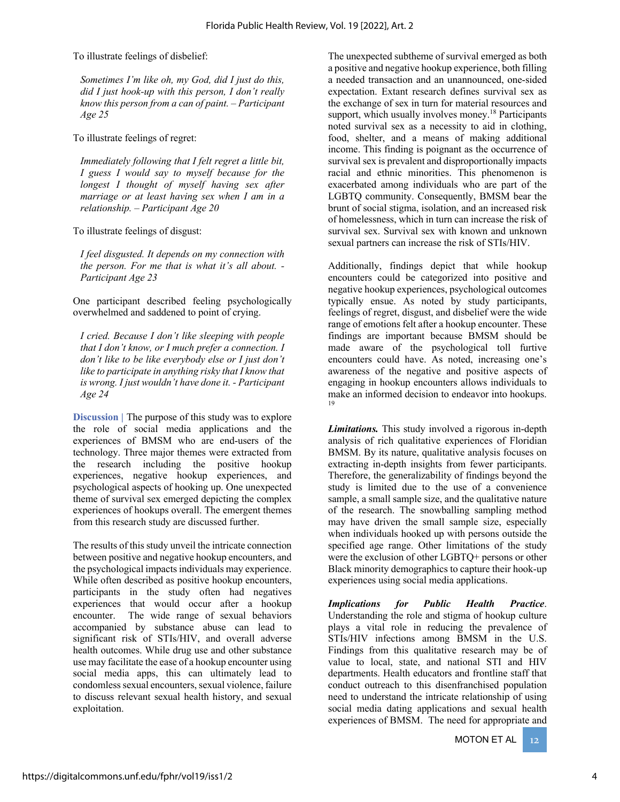To illustrate feelings of disbelief:

*Sometimes I'm like oh, my God, did I just do this, did I just hook-up with this person, I don't really know this person from a can of paint. – Participant Age 25* 

To illustrate feelings of regret:

*Immediately following that I felt regret a little bit, I guess I would say to myself because for the longest I thought of myself having sex after marriage or at least having sex when I am in a relationship. – Participant Age 20* 

To illustrate feelings of disgust:

*I feel disgusted. It depends on my connection with the person. For me that is what it's all about. - Participant Age 23* 

One participant described feeling psychologically overwhelmed and saddened to point of crying.

*I cried. Because I don't like sleeping with people that I don't know, or I much prefer a connection. I don't like to be like everybody else or I just don't like to participate in anything risky that I know that is wrong. I just wouldn't have done it. - Participant Age 24*

**Discussion |** The purpose of this study was to explore the role of social media applications and the experiences of BMSM who are end-users of the technology. Three major themes were extracted from the research including the positive hookup experiences, negative hookup experiences, and psychological aspects of hooking up. One unexpected theme of survival sex emerged depicting the complex experiences of hookups overall. The emergent themes from this research study are discussed further.

The results of this study unveil the intricate connection between positive and negative hookup encounters, and the psychological impacts individuals may experience. While often described as positive hookup encounters, participants in the study often had negatives experiences that would occur after a hookup encounter. The wide range of sexual behaviors accompanied by substance abuse can lead to significant risk of STIs/HIV, and overall adverse health outcomes. While drug use and other substance use may facilitate the ease of a hookup encounter using social media apps, this can ultimately lead to condomless sexual encounters, sexual violence, failure to discuss relevant sexual health history, and sexual exploitation.

The unexpected subtheme of survival emerged as both a positive and negative hookup experience, both filling a needed transaction and an unannounced, one-sided expectation. Extant research defines survival sex as the exchange of sex in turn for material resources and support, which usually involves money.<sup>18</sup> Participants noted survival sex as a necessity to aid in clothing, food, shelter, and a means of making additional income. This finding is poignant as the occurrence of survival sex is prevalent and disproportionally impacts racial and ethnic minorities. This phenomenon is exacerbated among individuals who are part of the LGBTQ community. Consequently, BMSM bear the brunt of social stigma, isolation, and an increased risk of homelessness, which in turn can increase the risk of survival sex. Survival sex with known and unknown sexual partners can increase the risk of STIs/HIV.

Additionally, findings depict that while hookup encounters could be categorized into positive and negative hookup experiences, psychological outcomes typically ensue. As noted by study participants, feelings of regret, disgust, and disbelief were the wide range of emotions felt after a hookup encounter. These findings are important because BMSM should be made aware of the psychological toll furtive encounters could have. As noted, increasing one's awareness of the negative and positive aspects of engaging in hookup encounters allows individuals to make an informed decision to endeavor into hookups. 19

*Limitations.* This study involved a rigorous in-depth analysis of rich qualitative experiences of Floridian BMSM. By its nature, qualitative analysis focuses on extracting in-depth insights from fewer participants. Therefore, the generalizability of findings beyond the study is limited due to the use of a convenience sample, a small sample size, and the qualitative nature of the research. The snowballing sampling method may have driven the small sample size, especially when individuals hooked up with persons outside the specified age range. Other limitations of the study were the exclusion of other LGBTQ+ persons or other Black minority demographics to capture their hook-up experiences using social media applications.

*Implications for Public Health Practice*. Understanding the role and stigma of hookup culture plays a vital role in reducing the prevalence of STIs/HIV infections among BMSM in the U.S. Findings from this qualitative research may be of value to local, state, and national STI and HIV departments. Health educators and frontline staff that conduct outreach to this disenfranchised population need to understand the intricate relationship of using social media dating applications and sexual health experiences of BMSM. The need for appropriate and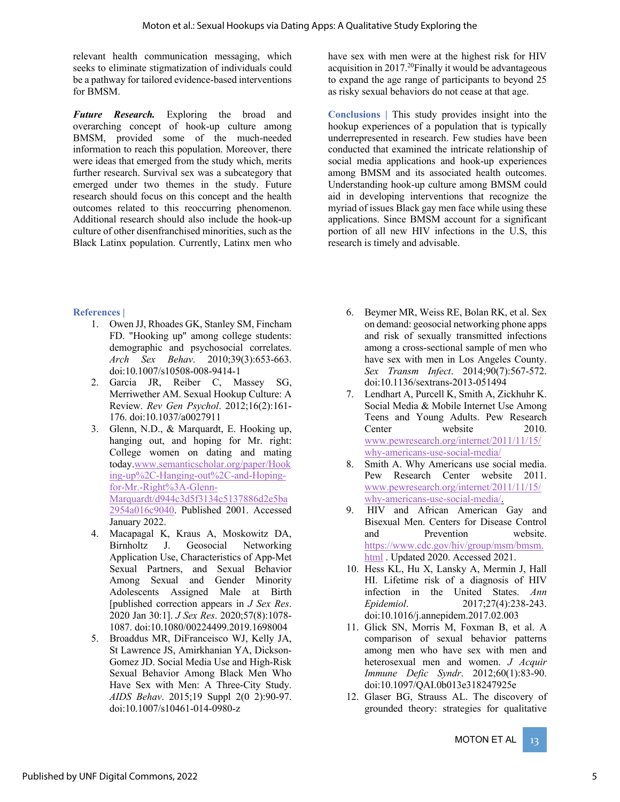relevant health communication messaging, which seeks to eliminate stigmatization of individuals could be a pathway for tailored evidence-based interventions for BMSM.

*Future Research.* Exploring the broad and overarching concept of hook-up culture among BMSM, provided some of the much-needed information to reach this population. Moreover, there were ideas that emerged from the study which, merits further research. Survival sex was a subcategory that emerged under two themes in the study. Future research should focus on this concept and the health outcomes related to this reoccurring phenomenon. Additional research should also include the hook-up culture of other disenfranchised minorities, such as the Black Latinx population. Currently, Latinx men who

have sex with men were at the highest risk for HIV acquisition in 2017.20Finally it would be advantageous to expand the age range of participants to beyond 25 as risky sexual behaviors do not cease at that age.

**Conclusions |** This study provides insight into the hookup experiences of a population that is typically underrepresented in research. Few studies have been conducted that examined the intricate relationship of social media applications and hook-up experiences among BMSM and its associated health outcomes. Understanding hook-up culture among BMSM could aid in developing interventions that recognize the myriad of issues Black gay men face while using these applications. Since BMSM account for a significant portion of all new HIV infections in the U.S, this research is timely and advisable.

### **References |**

- 1. Owen JJ, Rhoades GK, Stanley SM, Fincham FD. "Hooking up" among college students: demographic and psychosocial correlates. *Arch Sex Behav*. 2010;39(3):653-663. doi:10.1007/s10508-008-9414-1
- 2. Garcia JR, Reiber C, Massey SG, Merriwether AM. Sexual Hookup Culture: A Review. *Rev Gen Psychol*. 2012;16(2):161- 176. doi:10.1037/a0027911
- 3. Glenn, N.D., & Marquardt, E. Hooking up, hanging out, and hoping for Mr. right: College women on dating and mating today.www.semanticscholar.org/paper/Hook ing-up%2C-Hanging-out%2C-and-Hopingfor-Mr.-Right%3A-Glenn-Marquardt/d944c3d5f3134c5137886d2e5ba 2954a016c9040. Published 2001. Accessed January 2022.
- 4. Macapagal K, Kraus A, Moskowitz DA, Birnholtz J. Geosocial Networking Application Use, Characteristics of App-Met Sexual Partners, and Sexual Behavior Among Sexual and Gender Minority Adolescents Assigned Male at Birth [published correction appears in *J Sex Res*. 2020 Jan 30:1]. *J Sex Res*. 2020;57(8):1078- 1087. doi:10.1080/00224499.2019.1698004
- 5. Broaddus MR, DiFranceisco WJ, Kelly JA, St Lawrence JS, Amirkhanian YA, Dickson-Gomez JD. Social Media Use and High-Risk Sexual Behavior Among Black Men Who Have Sex with Men: A Three-City Study. *AIDS Behav*. 2015;19 Suppl 2(0 2):90-97. doi:10.1007/s10461-014-0980-z
- 6. Beymer MR, Weiss RE, Bolan RK, et al. Sex on demand: geosocial networking phone apps and risk of sexually transmitted infections among a cross-sectional sample of men who have sex with men in Los Angeles County. *Sex Transm Infect*. 2014;90(7):567-572. doi:10.1136/sextrans-2013-051494
- 7. Lendhart A, Purcell K, Smith A, Zickhuhr K. Social Media & Mobile Internet Use Among Teens and Young Adults. Pew Research Center website 2010. www.pewresearch.org/internet/2011/11/15/ why-americans-use-social-media/
- 8. Smith A. Why Americans use social media. Pew Research Center website 2011. www.pewresearch.org/internet/2011/11/15/ why-americans-use-social-media/.
- 9. HIV and African American Gay and Bisexual Men. Centers for Disease Control and Prevention website. https://www.cdc.gov/hiv/group/msm/bmsm. html . Updated 2020. Accessed 2021.
- 10. Hess KL, Hu X, Lansky A, Mermin J, Hall HI. Lifetime risk of a diagnosis of HIV infection in the United States. *Ann Epidemiol*. 2017;27(4):238-243. doi:10.1016/j.annepidem.2017.02.003
- 11. Glick SN, Morris M, Foxman B, et al. A comparison of sexual behavior patterns among men who have sex with men and heterosexual men and women. *J Acquir Immune Defic Syndr*. 2012;60(1):83-90. doi:10.1097/QAI.0b013e318247925e
- 12. Glaser BG, Strauss AL. The discovery of grounded theory: strategies for qualitative